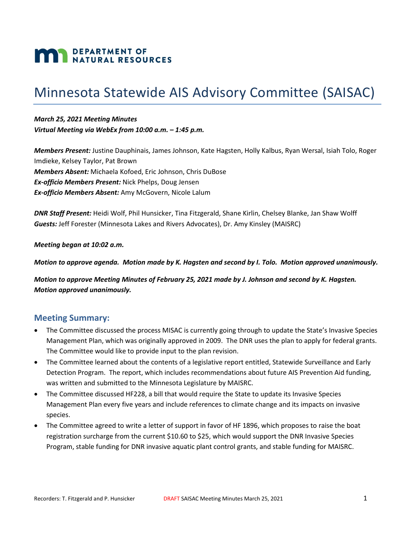# **MAN** DEPARTMENT OF NATURAL RESOURCES

# Minnesota Statewide AIS Advisory Committee (SAISAC)

*March 25, 2021 Meeting Minutes Virtual Meeting via WebEx from 10:00 a.m. – 1:45 p.m.*

*Members Present:* Justine Dauphinais, James Johnson, Kate Hagsten, Holly Kalbus, Ryan Wersal, Isiah Tolo, Roger Imdieke, Kelsey Taylor, Pat Brown *Members Absent:* Michaela Kofoed, Eric Johnson, Chris DuBose *Ex-officio Members Present:* Nick Phelps, Doug Jensen *Ex-officio Members Absent:* Amy McGovern, Nicole Lalum

*DNR Staff Present:* Heidi Wolf, Phil Hunsicker, Tina Fitzgerald, Shane Kirlin, Chelsey Blanke, Jan Shaw Wolff *Guests:* Jeff Forester (Minnesota Lakes and Rivers Advocates), Dr. Amy Kinsley (MAISRC)

*Meeting began at 10:02 a.m.*

*Motion to approve agenda. Motion made by K. Hagsten and second by I. Tolo. Motion approved unanimously.*

*Motion to approve Meeting Minutes of February 25, 2021 made by J. Johnson and second by K. Hagsten. Motion approved unanimously.*

#### **Meeting Summary:**

- The Committee discussed the process MISAC is currently going through to update the State's Invasive Species Management Plan, which was originally approved in 2009. The DNR uses the plan to apply for federal grants. The Committee would like to provide input to the plan revision.
- The Committee learned about the contents of a legislative report entitled, Statewide Surveillance and Early Detection Program. The report, which includes recommendations about future AIS Prevention Aid funding, was written and submitted to the Minnesota Legislature by MAISRC.
- The Committee discussed HF228, a bill that would require the State to update its Invasive Species Management Plan every five years and include references to climate change and its impacts on invasive species.
- The Committee agreed to write a letter of support in favor of HF 1896, which proposes to raise the boat registration surcharge from the current \$10.60 to \$25, which would support the DNR Invasive Species Program, stable funding for DNR invasive aquatic plant control grants, and stable funding for MAISRC.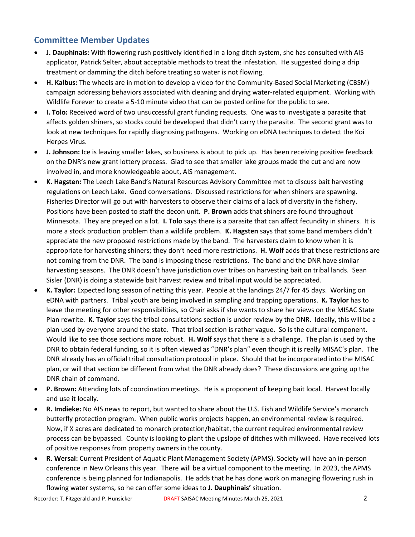## **Committee Member Updates**

- **J. Dauphinais:** With flowering rush positively identified in a long ditch system, she has consulted with AIS applicator, Patrick Selter, about acceptable methods to treat the infestation. He suggested doing a drip treatment or damming the ditch before treating so water is not flowing.
- **H. Kalbus:** The wheels are in motion to develop a video for the Community-Based Social Marketing (CBSM) campaign addressing behaviors associated with cleaning and drying water-related equipment. Working with Wildlife Forever to create a 5-10 minute video that can be posted online for the public to see.
- **I. Tolo:** Received word of two unsuccessful grant funding requests. One was to investigate a parasite that affects golden shiners, so stocks could be developed that didn't carry the parasite. The second grant was to look at new techniques for rapidly diagnosing pathogens. Working on eDNA techniques to detect the Koi Herpes Virus.
- **J. Johnson:** Ice is leaving smaller lakes, so business is about to pick up. Has been receiving positive feedback on the DNR's new grant lottery process. Glad to see that smaller lake groups made the cut and are now involved in, and more knowledgeable about, AIS management.
- **K. Hagsten:** The Leech Lake Band's Natural Resources Advisory Committee met to discuss bait harvesting regulations on Leech Lake. Good conversations. Discussed restrictions for when shiners are spawning. Fisheries Director will go out with harvesters to observe their claims of a lack of diversity in the fishery. Positions have been posted to staff the decon unit. **P. Brown** adds that shiners are found throughout Minnesota. They are preyed on a lot. **I. Tolo** says there is a parasite that can affect fecundity in shiners. It is more a stock production problem than a wildlife problem. **K. Hagsten** says that some band members didn't appreciate the new proposed restrictions made by the band. The harvesters claim to know when it is appropriate for harvesting shiners; they don't need more restrictions. **H. Wolf** adds that these restrictions are not coming from the DNR. The band is imposing these restrictions. The band and the DNR have similar harvesting seasons. The DNR doesn't have jurisdiction over tribes on harvesting bait on tribal lands. Sean Sisler (DNR) is doing a statewide bait harvest review and tribal input would be appreciated.
- **K. Taylor:** Expected long season of netting this year. People at the landings 24/7 for 45 days. Working on eDNA with partners. Tribal youth are being involved in sampling and trapping operations. **K. Taylor** has to leave the meeting for other responsibilities, so Chair asks if she wants to share her views on the MISAC State Plan rewrite. **K. Taylor** says the tribal consultations section is under review by the DNR. Ideally, this will be a plan used by everyone around the state. That tribal section is rather vague. So is the cultural component. Would like to see those sections more robust. **H. Wolf** says that there is a challenge. The plan is used by the DNR to obtain federal funding, so it is often viewed as "DNR's plan" even though it is really MISAC's plan. The DNR already has an official tribal consultation protocol in place. Should that be incorporated into the MISAC plan, or will that section be different from what the DNR already does? These discussions are going up the DNR chain of command.
- **P. Brown:** Attending lots of coordination meetings. He is a proponent of keeping bait local. Harvest locally and use it locally.
- **R. Imdieke:** No AIS news to report, but wanted to share about the U.S. Fish and Wildlife Service's monarch butterfly protection program. When public works projects happen, an environmental review is required. Now, if X acres are dedicated to monarch protection/habitat, the current required environmental review process can be bypassed. County is looking to plant the upslope of ditches with milkweed. Have received lots of positive responses from property owners in the county.
- **R. Wersal:** Current President of Aquatic Plant Management Society (APMS). Society will have an in-person conference in New Orleans this year. There will be a virtual component to the meeting. In 2023, the APMS conference is being planned for Indianapolis. He adds that he has done work on managing flowering rush in flowing water systems, so he can offer some ideas to **J. Dauphinais'** situation.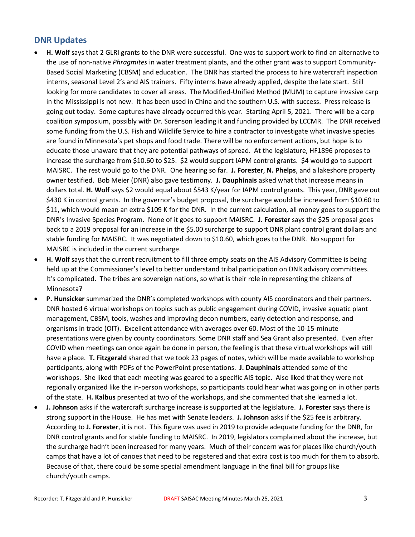#### **DNR Updates**

- **H. Wolf** says that 2 GLRI grants to the DNR were successful. One was to support work to find an alternative to the use of non-native *Phragmites* in water treatment plants, and the other grant was to support Community-Based Social Marketing (CBSM) and education. The DNR has started the process to hire watercraft inspection interns, seasonal Level 2's and AIS trainers. Fifty interns have already applied, despite the late start. Still looking for more candidates to cover all areas. The Modified-Unified Method (MUM) to capture invasive carp in the Mississippi is not new. It has been used in China and the southern U.S. with success. Press release is going out today. Some captures have already occurred this year. Starting April 5, 2021. There will be a carp coalition symposium, possibly with Dr. Sorenson leading it and funding provided by LCCMR. The DNR received some funding from the U.S. Fish and Wildlife Service to hire a contractor to investigate what invasive species are found in Minnesota's pet shops and food trade. There will be no enforcement actions, but hope is to educate those unaware that they are potential pathways of spread. At the legislature, HF1896 proposes to increase the surcharge from \$10.60 to \$25. \$2 would support IAPM control grants. \$4 would go to support MAISRC. The rest would go to the DNR. One hearing so far. **J. Forester**, **N. Phelps**, and a lakeshore property owner testified. Bob Meier (DNR) also gave testimony. **J. Dauphinais** asked what that increase means in dollars total. **H. Wolf** says \$2 would equal about \$543 K/year for IAPM control grants. This year, DNR gave out \$430 K in control grants. In the governor's budget proposal, the surcharge would be increased from \$10.60 to \$11, which would mean an extra \$109 K for the DNR. In the current calculation, all money goes to support the DNR's Invasive Species Program. None of it goes to support MAISRC. **J. Forester** says the \$25 proposal goes back to a 2019 proposal for an increase in the \$5.00 surcharge to support DNR plant control grant dollars and stable funding for MAISRC. It was negotiated down to \$10.60, which goes to the DNR. No support for MAISRC is included in the current surcharge.
- **H. Wolf** says that the current recruitment to fill three empty seats on the AIS Advisory Committee is being held up at the Commissioner's level to better understand tribal participation on DNR advisory committees. It's complicated. The tribes are sovereign nations, so what is their role in representing the citizens of Minnesota?
- **P. Hunsicker** summarized the DNR's completed workshops with county AIS coordinators and their partners. DNR hosted 6 virtual workshops on topics such as public engagement during COVID, invasive aquatic plant management, CBSM, tools, washes and improving decon numbers, early detection and response, and organisms in trade (OIT). Excellent attendance with averages over 60. Most of the 10-15-minute presentations were given by county coordinators. Some DNR staff and Sea Grant also presented. Even after COVID when meetings can once again be done in person, the feeling is that these virtual workshops will still have a place. **T. Fitzgerald** shared that we took 23 pages of notes, which will be made available to workshop participants, along with PDFs of the PowerPoint presentations. **J. Dauphinais** attended some of the workshops. She liked that each meeting was geared to a specific AIS topic. Also liked that they were not regionally organized like the in-person workshops, so participants could hear what was going on in other parts of the state. **H. Kalbus** presented at two of the workshops, and she commented that she learned a lot.
- **J. Johnson** asks if the watercraft surcharge increase is supported at the legislature. **J. Forester** says there is strong support in the House. He has met with Senate leaders. **J. Johnson** asks if the \$25 fee is arbitrary. According to **J. Forester**, it is not. This figure was used in 2019 to provide adequate funding for the DNR, for DNR control grants and for stable funding to MAISRC. In 2019, legislators complained about the increase, but the surcharge hadn't been increased for many years. Much of their concern was for places like church/youth camps that have a lot of canoes that need to be registered and that extra cost is too much for them to absorb. Because of that, there could be some special amendment language in the final bill for groups like church/youth camps.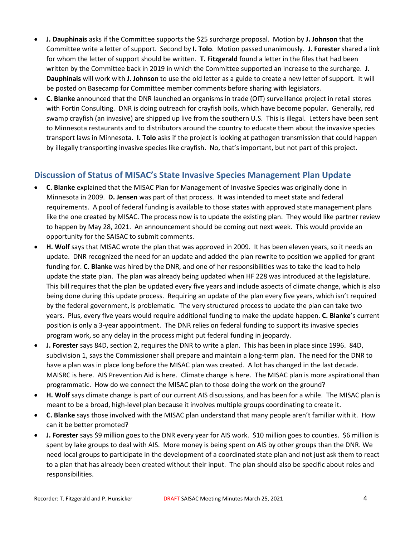- **J. Dauphinais** asks if the Committee supports the \$25 surcharge proposal. Motion by **J. Johnson** that the Committee write a letter of support. Second by **I. Tolo**. Motion passed unanimously. **J. Forester** shared a link for whom the letter of support should be written. **T. Fitzgerald** found a letter in the files that had been written by the Committee back in 2019 in which the Committee supported an increase to the surcharge. **J. Dauphinais** will work with **J. Johnson** to use the old letter as a guide to create a new letter of support. It will be posted on Basecamp for Committee member comments before sharing with legislators.
- **C. Blanke** announced that the DNR launched an organisms in trade (OIT) surveillance project in retail stores with Fortin Consulting. DNR is doing outreach for crayfish boils, which have become popular. Generally, red swamp crayfish (an invasive) are shipped up live from the southern U.S. This is illegal. Letters have been sent to Minnesota restaurants and to distributors around the country to educate them about the invasive species transport laws in Minnesota. **I. Tolo** asks if the project is looking at pathogen transmission that could happen by illegally transporting invasive species like crayfish. No, that's important, but not part of this project.

### **Discussion of Status of MISAC's State Invasive Species Management Plan Update**

- **C. Blanke** explained that the MISAC Plan for Management of Invasive Species was originally done in Minnesota in 2009. **D. Jensen** was part of that process. It was intended to meet state and federal requirements. A pool of federal funding is available to those states with approved state management plans like the one created by MISAC. The process now is to update the existing plan. They would like partner review to happen by May 28, 2021. An announcement should be coming out next week. This would provide an opportunity for the SAISAC to submit comments.
- **H. Wolf** says that MISAC wrote the plan that was approved in 2009. It has been eleven years, so it needs an update. DNR recognized the need for an update and added the plan rewrite to position we applied for grant funding for. **C. Blanke** was hired by the DNR, and one of her responsibilities was to take the lead to help update the state plan. The plan was already being updated when HF 228 was introduced at the legislature. This bill requires that the plan be updated every five years and include aspects of climate change, which is also being done during this update process. Requiring an update of the plan every five years, which isn't required by the federal government, is problematic. The very structured process to update the plan can take two years. Plus, every five years would require additional funding to make the update happen. **C. Blanke**'s current position is only a 3-year appointment. The DNR relies on federal funding to support its invasive species program work, so any delay in the process might put federal funding in jeopardy.
- **J. Forester** says 84D, section 2, requires the DNR to write a plan. This has been in place since 1996. 84D, subdivision 1, says the Commissioner shall prepare and maintain a long-term plan. The need for the DNR to have a plan was in place long before the MISAC plan was created. A lot has changed in the last decade. MAISRC is here. AIS Prevention Aid is here. Climate change is here. The MISAC plan is more aspirational than programmatic. How do we connect the MISAC plan to those doing the work on the ground?
- **H. Wolf** says climate change is part of our current AIS discussions, and has been for a while. The MISAC plan is meant to be a broad, high-level plan because it involves multiple groups coordinating to create it.
- **C. Blanke** says those involved with the MISAC plan understand that many people aren't familiar with it. How can it be better promoted?
- **J. Forester** says \$9 million goes to the DNR every year for AIS work. \$10 million goes to counties. \$6 million is spent by lake groups to deal with AIS. More money is being spent on AIS by other groups than the DNR. We need local groups to participate in the development of a coordinated state plan and not just ask them to react to a plan that has already been created without their input. The plan should also be specific about roles and responsibilities.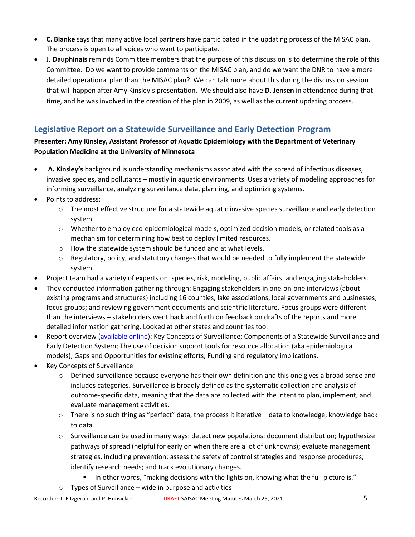- **C. Blanke** says that many active local partners have participated in the updating process of the MISAC plan. The process is open to all voices who want to participate.
- **J. Dauphinais** reminds Committee members that the purpose of this discussion is to determine the role of this Committee. Do we want to provide comments on the MISAC plan, and do we want the DNR to have a more detailed operational plan than the MISAC plan? We can talk more about this during the discussion session that will happen after Amy Kinsley's presentation. We should also have **D. Jensen** in attendance during that time, and he was involved in the creation of the plan in 2009, as well as the current updating process.

# **Legislative Report on a Statewide Surveillance and Early Detection Program**

#### **Presenter: Amy Kinsley, Assistant Professor of Aquatic Epidemiology with the Department of Veterinary Population Medicine at the University of Minnesota**

- **A. Kinsley's** background is understanding mechanisms associated with the spread of infectious diseases, invasive species, and pollutants – mostly in aquatic environments. Uses a variety of modeling approaches for informing surveillance, analyzing surveillance data, planning, and optimizing systems.
- Points to address:
	- $\circ$  The most effective structure for a statewide aquatic invasive species surveillance and early detection system.
	- $\circ$  Whether to employ eco-epidemiological models, optimized decision models, or related tools as a mechanism for determining how best to deploy limited resources.
	- o How the statewide system should be funded and at what levels.
	- $\circ$  Regulatory, policy, and statutory changes that would be needed to fully implement the statewide system.
- Project team had a variety of experts on: species, risk, modeling, public affairs, and engaging stakeholders.
- They conducted information gathering through: Engaging stakeholders in one-on-one interviews (about existing programs and structures) including 16 counties, lake associations, local governments and businesses; focus groups; and reviewing government documents and scientific literature. Focus groups were different than the interviews – stakeholders went back and forth on feedback on drafts of the reports and more detailed information gathering. Looked at other states and countries too.
- Report overview [\(available online\)](https://www.maisrc.umn.edu/sites/maisrc.umn.edu/files/2021_maisrc_legislative_report.pdf): Key Concepts of Surveillance; Components of a Statewide Surveillance and Early Detection System; The use of decision support tools for resource allocation (aka epidemiological models); Gaps and Opportunities for existing efforts; Funding and regulatory implications.
- Key Concepts of Surveillance
	- o Defined surveillance because everyone has their own definition and this one gives a broad sense and includes categories. Surveillance is broadly defined as the systematic collection and analysis of outcome-specific data, meaning that the data are collected with the intent to plan, implement, and evaluate management activities.
	- $\circ$  There is no such thing as "perfect" data, the process it iterative data to knowledge, knowledge back to data.
	- o Surveillance can be used in many ways: detect new populations; document distribution; hypothesize pathways of spread (helpful for early on when there are a lot of unknowns); evaluate management strategies, including prevention; assess the safety of control strategies and response procedures; identify research needs; and track evolutionary changes.
		- In other words, "making decisions with the lights on, knowing what the full picture is."
	- Types of Surveillance wide in purpose and activities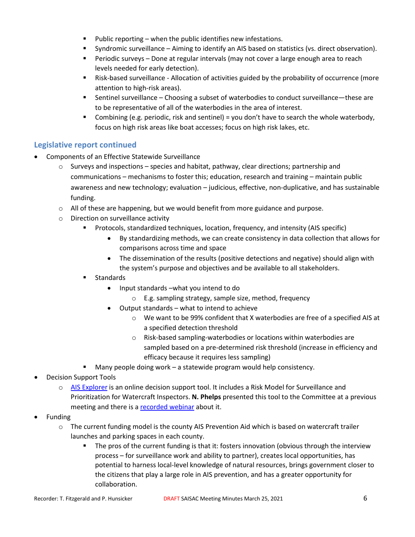- $\blacksquare$  Public reporting when the public identifies new infestations.
- Syndromic surveillance Aiming to identify an AIS based on statistics (vs. direct observation).
- **Periodic surveys Done at regular intervals (may not cover a large enough area to reach** levels needed for early detection).
- Risk-based surveillance Allocation of activities guided by the probability of occurrence (more attention to high-risk areas).
- Sentinel surveillance Choosing a subset of waterbodies to conduct surveillance—these are to be representative of all of the waterbodies in the area of interest.
- Combining (e.g. periodic, risk and sentinel) = you don't have to search the whole waterbody, focus on high risk areas like boat accesses; focus on high risk lakes, etc.

#### **Legislative report continued**

- Components of an Effective Statewide Surveillance
	- $\circ$  Surveys and inspections species and habitat, pathway, clear directions; partnership and communications – mechanisms to foster this; education, research and training – maintain public awareness and new technology; evaluation – judicious, effective, non-duplicative, and has sustainable funding.
	- $\circ$  All of these are happening, but we would benefit from more guidance and purpose.
	- o Direction on surveillance activity
		- Protocols, standardized techniques, location, frequency, and intensity (AIS specific)
			- By standardizing methods, we can create consistency in data collection that allows for comparisons across time and space
			- The dissemination of the results (positive detections and negative) should align with the system's purpose and objectives and be available to all stakeholders.
		- Standards
			- Input standards –what you intend to do
				- o E.g. sampling strategy, sample size, method, frequency
			- Output standards what to intend to achieve
				- o We want to be 99% confident that X waterbodies are free of a specified AIS at a specified detection threshold
				- o Risk-based sampling-waterbodies or locations within waterbodies are sampled based on a pre-determined risk threshold (increase in efficiency and efficacy because it requires less sampling)
		- Many people doing work a statewide program would help consistency.
- Decision Support Tools
	- o [AIS Explorer](https://www.aisexplorer.umn.edu/) is an online decision support tool. It includes a Risk Model for Surveillance and Prioritization for Watercraft Inspectors. **N. Phelps** presented this tool to the Committee at a previous meeting and there is a [recorded webinar](https://www.youtube.com/watch?v=1oCCy91lJ-g) about it.
- **Funding** 
	- o The current funding model is the county AIS Prevention Aid which is based on watercraft trailer launches and parking spaces in each county.
		- **The pros of the current funding is that it: fosters innovation (obvious through the interview** process – for surveillance work and ability to partner), creates local opportunities, has potential to harness local-level knowledge of natural resources, brings government closer to the citizens that play a large role in AIS prevention, and has a greater opportunity for collaboration.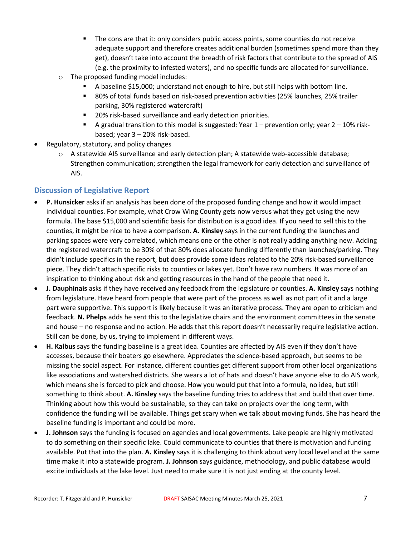- The cons are that it: only considers public access points, some counties do not receive adequate support and therefore creates additional burden (sometimes spend more than they get), doesn't take into account the breadth of risk factors that contribute to the spread of AIS (e.g. the proximity to infested waters), and no specific funds are allocated for surveillance.
- o The proposed funding model includes:
	- A baseline \$15,000; understand not enough to hire, but still helps with bottom line.
	- 80% of total funds based on risk-based prevention activities (25% launches, 25% trailer parking, 30% registered watercraft)
	- 20% risk-based surveillance and early detection priorities.
	- A gradual transition to this model is suggested: Year  $1$  prevention only; year  $2 10\%$  riskbased; year 3 – 20% risk-based.
- Regulatory, statutory, and policy changes
	- $\circ$  A statewide AIS surveillance and early detection plan; A statewide web-accessible database; Strengthen communication; strengthen the legal framework for early detection and surveillance of AIS.

#### **Discussion of Legislative Report**

- **P. Hunsicker** asks if an analysis has been done of the proposed funding change and how it would impact individual counties. For example, what Crow Wing County gets now versus what they get using the new formula. The base \$15,000 and scientific basis for distribution is a good idea. If you need to sell this to the counties, it might be nice to have a comparison. **A. Kinsley** says in the current funding the launches and parking spaces were very correlated, which means one or the other is not really adding anything new. Adding the registered watercraft to be 30% of that 80% does allocate funding differently than launches/parking. They didn't include specifics in the report, but does provide some ideas related to the 20% risk-based surveillance piece. They didn't attach specific risks to counties or lakes yet. Don't have raw numbers. It was more of an inspiration to thinking about risk and getting resources in the hand of the people that need it.
- **J. Dauphinais** asks if they have received any feedback from the legislature or counties. **A. Kinsley** says nothing from legislature. Have heard from people that were part of the process as well as not part of it and a large part were supportive. This support is likely because it was an iterative process. They are open to criticism and feedback. **N. Phelps** adds he sent this to the legislative chairs and the environment committees in the senate and house – no response and no action. He adds that this report doesn't necessarily require legislative action. Still can be done, by us, trying to implement in different ways.
- **H. Kalbus** says the funding baseline is a great idea. Counties are affected by AIS even if they don't have accesses, because their boaters go elsewhere. Appreciates the science-based approach, but seems to be missing the social aspect. For instance, different counties get different support from other local organizations like associations and watershed districts. She wears a lot of hats and doesn't have anyone else to do AIS work, which means she is forced to pick and choose. How you would put that into a formula, no idea, but still something to think about. **A. Kinsley** says the baseline funding tries to address that and build that over time. Thinking about how this would be sustainable, so they can take on projects over the long term, with confidence the funding will be available. Things get scary when we talk about moving funds. She has heard the baseline funding is important and could be more.
- **J. Johnson** says the funding is focused on agencies and local governments. Lake people are highly motivated to do something on their specific lake. Could communicate to counties that there is motivation and funding available. Put that into the plan. **A. Kinsley** says it is challenging to think about very local level and at the same time make it into a statewide program. **J. Johnson** says guidance, methodology, and public database would excite individuals at the lake level. Just need to make sure it is not just ending at the county level.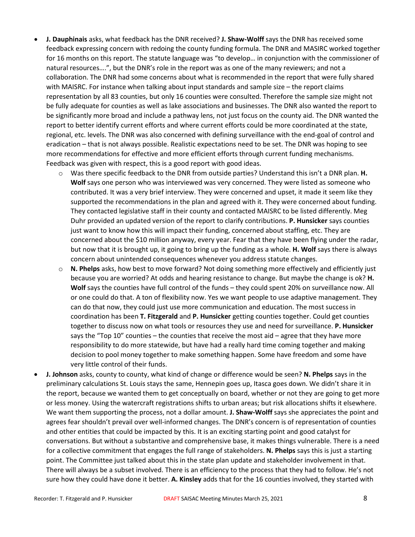- **J. Dauphinais** asks, what feedback has the DNR received? **J. Shaw-Wolff** says the DNR has received some feedback expressing concern with redoing the county funding formula. The DNR and MASIRC worked together for 16 months on this report. The statute language was "to develop… in conjunction with the commissioner of natural resources….", but the DNR's role in the report was as one of the many reviewers; and not a collaboration. The DNR had some concerns about what is recommended in the report that were fully shared with MAISRC. For instance when talking about input standards and sample size – the report claims representation by all 83 counties, but only 16 counties were consulted. Therefore the sample size might not be fully adequate for counties as well as lake associations and businesses. The DNR also wanted the report to be significantly more broad and include a pathway lens, not just focus on the county aid. The DNR wanted the report to better identify current efforts and where current efforts could be more coordinated at the state, regional, etc. levels. The DNR was also concerned with defining surveillance with the end-goal of control and eradication – that is not always possible. Realistic expectations need to be set. The DNR was hoping to see more recommendations for effective and more efficient efforts through current funding mechanisms. Feedback was given with respect, this is a good report with good ideas.
	- o Was there specific feedback to the DNR from outside parties? Understand this isn't a DNR plan. **H. Wolf** says one person who was interviewed was very concerned. They were listed as someone who contributed. It was a very brief interview. They were concerned and upset, it made it seem like they supported the recommendations in the plan and agreed with it. They were concerned about funding. They contacted legislative staff in their county and contacted MAISRC to be listed differently. Meg Duhr provided an updated version of the report to clarify contributions. **P. Hunsicker** says counties just want to know how this will impact their funding, concerned about staffing, etc. They are concerned about the \$10 million anyway, every year. Fear that they have been flying under the radar, but now that it is brought up, it going to bring up the funding as a whole. **H. Wolf** says there is always concern about unintended consequences whenever you address statute changes.
	- o **N. Phelps** asks, how best to move forward? Not doing something more effectively and efficiently just because you are worried? At odds and hearing resistance to change. But maybe the change is ok? **H. Wolf** says the counties have full control of the funds – they could spent 20% on surveillance now. All or one could do that. A ton of flexibility now. Yes we want people to use adaptive management. They can do that now, they could just use more communication and education. The most success in coordination has been **T. Fitzgerald** and **P. Hunsicker** getting counties together. Could get counties together to discuss now on what tools or resources they use and need for surveillance. **P. Hunsicker**  says the "Top 10" counties – the counties that receive the most aid – agree that they have more responsibility to do more statewide, but have had a really hard time coming together and making decision to pool money together to make something happen. Some have freedom and some have very little control of their funds.
- **J. Johnson** asks, county to county, what kind of change or difference would be seen? **N. Phelps** says in the preliminary calculations St. Louis stays the same, Hennepin goes up, Itasca goes down. We didn't share it in the report, because we wanted them to get conceptually on board, whether or not they are going to get more or less money. Using the watercraft registrations shifts to urban areas; but risk allocations shifts it elsewhere. We want them supporting the process, not a dollar amount. **J. Shaw-Wolff** says she appreciates the point and agrees fear shouldn't prevail over well-informed changes. The DNR's concern is of representation of counties and other entities that could be impacted by this. It is an exciting starting point and good catalyst for conversations. But without a substantive and comprehensive base, it makes things vulnerable. There is a need for a collective commitment that engages the full range of stakeholders. **N. Phelps** says this is just a starting point. The Committee just talked about this in the state plan update and stakeholder involvement in that. There will always be a subset involved. There is an efficiency to the process that they had to follow. He's not sure how they could have done it better. **A. Kinsley** adds that for the 16 counties involved, they started with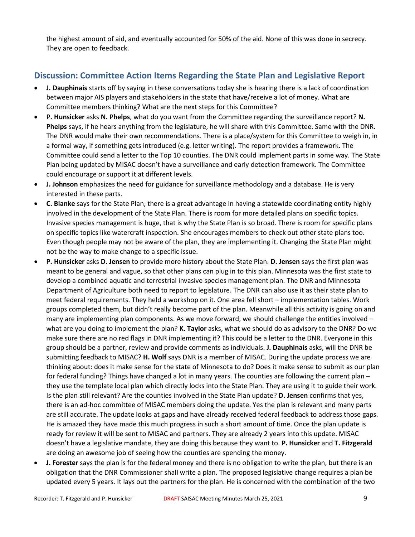the highest amount of aid, and eventually accounted for 50% of the aid. None of this was done in secrecy. They are open to feedback.

# **Discussion: Committee Action Items Regarding the State Plan and Legislative Report**

- **J. Dauphinais** starts off by saying in these conversations today she is hearing there is a lack of coordination between major AIS players and stakeholders in the state that have/receive a lot of money. What are Committee members thinking? What are the next steps for this Committee?
- **P. Hunsicker** asks **N. Phelps**, what do you want from the Committee regarding the surveillance report? **N. Phelps** says, if he hears anything from the legislature, he will share with this Committee. Same with the DNR. The DNR would make their own recommendations. There is a place/system for this Committee to weigh in, in a formal way, if something gets introduced (e.g. letter writing). The report provides a framework. The Committee could send a letter to the Top 10 counties. The DNR could implement parts in some way. The State Plan being updated by MISAC doesn't have a surveillance and early detection framework. The Committee could encourage or support it at different levels.
- **J. Johnson** emphasizes the need for guidance for surveillance methodology and a database. He is very interested in these parts.
- **C. Blanke** says for the State Plan, there is a great advantage in having a statewide coordinating entity highly involved in the development of the State Plan. There is room for more detailed plans on specific topics. Invasive species management is huge, that is why the State Plan is so broad. There is room for specific plans on specific topics like watercraft inspection. She encourages members to check out other state plans too. Even though people may not be aware of the plan, they are implementing it. Changing the State Plan might not be the way to make change to a specific issue.
- **P. Hunsicker** asks **D. Jensen** to provide more history about the State Plan. **D. Jensen** says the first plan was meant to be general and vague, so that other plans can plug in to this plan. Minnesota was the first state to develop a combined aquatic and terrestrial invasive species management plan. The DNR and Minnesota Department of Agriculture both need to report to legislature. The DNR can also use it as their state plan to meet federal requirements. They held a workshop on it. One area fell short – implementation tables. Work groups completed them, but didn't really become part of the plan. Meanwhile all this activity is going on and many are implementing plan components. As we move forward, we should challenge the entities involved – what are you doing to implement the plan? **K. Taylor** asks, what we should do as advisory to the DNR? Do we make sure there are no red flags in DNR implementing it? This could be a letter to the DNR. Everyone in this group should be a partner, review and provide comments as individuals. **J. Dauphinais** asks, will the DNR be submitting feedback to MISAC? **H. Wolf** says DNR is a member of MISAC. During the update process we are thinking about: does it make sense for the state of Minnesota to do? Does it make sense to submit as our plan for federal funding? Things have changed a lot in many years. The counties are following the current plan – they use the template local plan which directly locks into the State Plan. They are using it to guide their work. Is the plan still relevant? Are the counties involved in the State Plan update? **D. Jensen** confirms that yes, there is an ad-hoc committee of MISAC members doing the update. Yes the plan is relevant and many parts are still accurate. The update looks at gaps and have already received federal feedback to address those gaps. He is amazed they have made this much progress in such a short amount of time. Once the plan update is ready for review it will be sent to MISAC and partners. They are already 2 years into this update. MISAC doesn't have a legislative mandate, they are doing this because they want to. **P. Hunsicker** and **T. Fitzgerald** are doing an awesome job of seeing how the counties are spending the money.
- **J. Forester** says the plan is for the federal money and there is no obligation to write the plan, but there is an obligation that the DNR Commissioner shall write a plan. The proposed legislative change requires a plan be updated every 5 years. It lays out the partners for the plan. He is concerned with the combination of the two